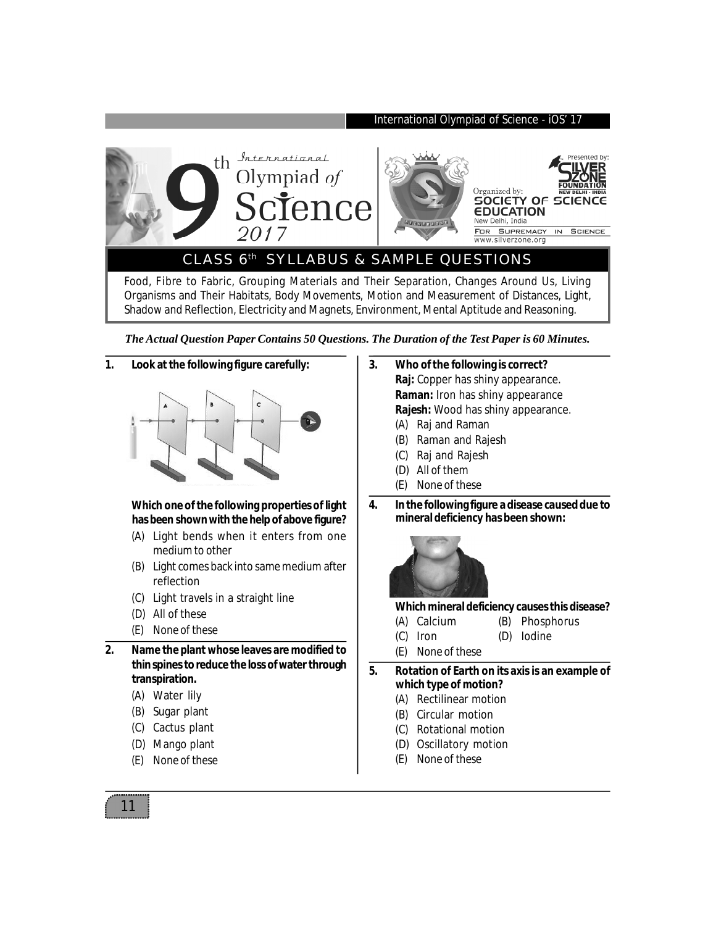

*The Actual Question Paper Contains 50 Questions. The Duration of the Test Paper is 60 Minutes.*

## **1. Look at the following figure carefully:**



## **Which one of the following properties of light has been shown with the help of above figure?**

- (A) Light bends when it enters from one medium to other
- (B) Light comes back into same medium after reflection
- (C) Light travels in a straight line
- (D) All of these
- (E) None of these

**2. Name the plant whose leaves are modified to thin spines to reduce the loss of water through transpiration.**

- (A) Water lily
- (B) Sugar plant
- (C) Cactus plant
- (D) Mango plant
- (E) None of these
- **3. Who of the following is correct? Raj:** Copper has shiny appearance. **Raman:** Iron has shiny appearance **Rajesh:** Wood has shiny appearance.
	- (A) Raj and Raman
	- (B) Raman and Rajesh
	- (C) Raj and Rajesh
	- (D) All of them
	- (E) None of these
- **4. In the following figure a disease caused due to mineral deficiency has been shown:**



## **Which mineral deficiency causes this disease?**

- (A) Calcium (B) Phosphorus
- (C) Iron (D) Iodine
- (E) None of these

**5. Rotation of Earth on its axis is an example of which type of motion?**

- (A) Rectilinear motion
- (B) Circular motion
- (C) Rotational motion
- (D) Oscillatory motion
- (E) None of these